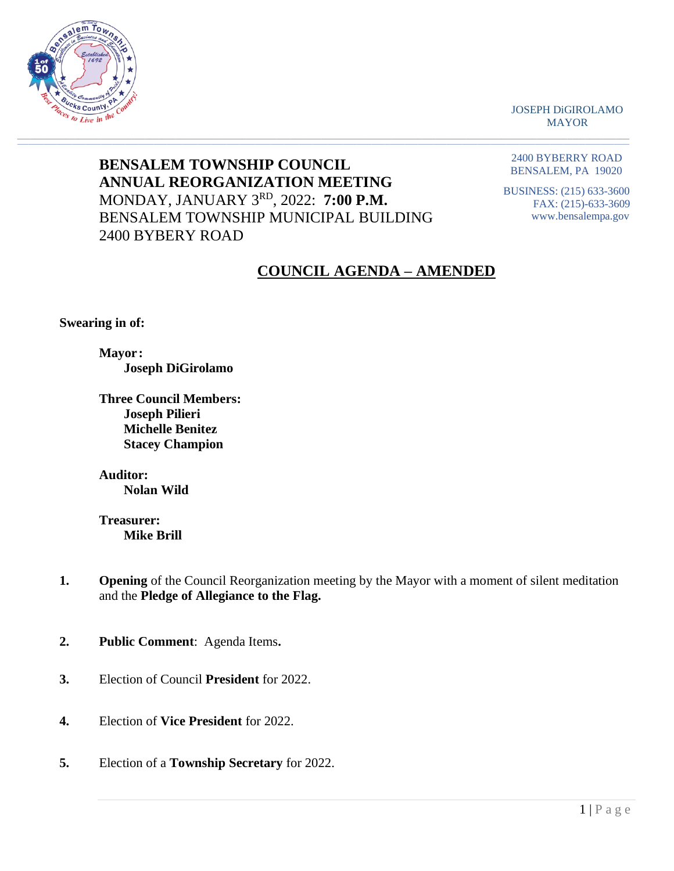

JOSEPH DiGIROLAMO MAYOR

**BENSALEM TOWNSHIP COUNCIL ANNUAL REORGANIZATION MEETING** MONDAY, JANUARY 3 RD, 2022: **7:00 P.M.** BENSALEM TOWNSHIP MUNICIPAL BUILDING 2400 BYBERY ROAD

 $\_$  , and the set of the set of the set of the set of the set of the set of the set of the set of the set of the set of the set of the set of the set of the set of the set of the set of the set of the set of the set of th

2400 BYBERRY ROAD BENSALEM, PA 19020

BUSINESS: (215) 633-3600 FAX: (215)-633-3609 www.bensalempa.gov

## **COUNCIL AGENDA – AMENDED**

 **Swearing in of:**

 **Mayor : Joseph DiGirolamo**

 **Three Council Members: Joseph Pilieri Michelle Benitez Stacey Champion**

 **Auditor:**

**Nolan Wild**

 **Treasurer: Mike Brill**

- **1. Opening** of the Council Reorganization meeting by the Mayor with a moment of silent meditation and the **Pledge of Allegiance to the Flag.**
- **2. Public Comment**: Agenda Items**.**
- **3.** Election of Council **President** for 2022.
- **4.** Election of **Vice President** for 2022.
- **5.** Election of a **Township Secretary** for 2022.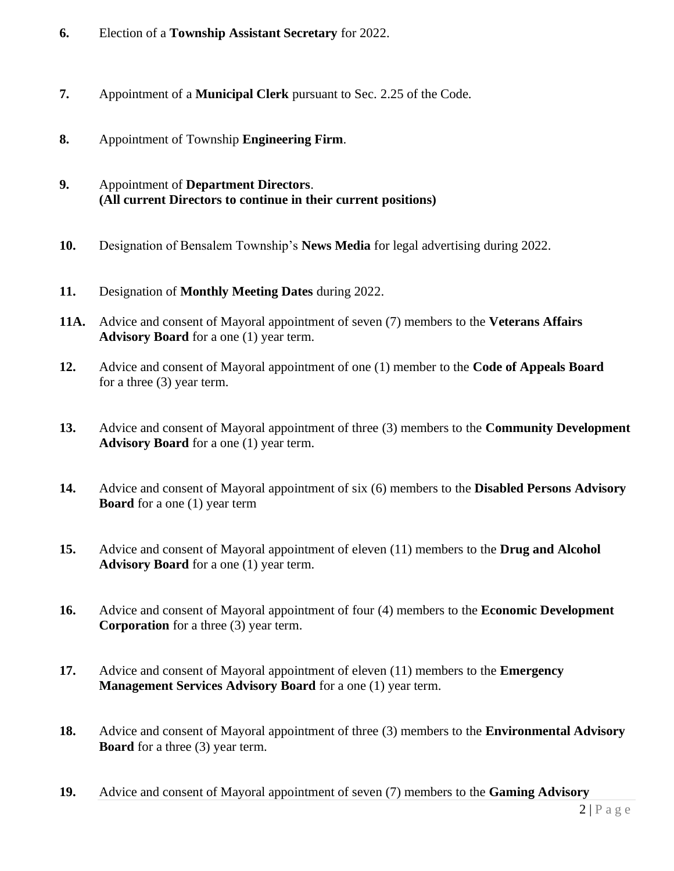- **6.** Election of a **Township Assistant Secretary** for 2022.
- **7.** Appointment of a **Municipal Clerk** pursuant to Sec. 2.25 of the Code.
- **8.** Appointment of Township **Engineering Firm**.
- **9.** Appointment of **Department Directors**. **(All current Directors to continue in their current positions)**
- **10.** Designation of Bensalem Township's **News Media** for legal advertising during 2022.
- **11.** Designation of **Monthly Meeting Dates** during 2022.
- **11A.** Advice and consent of Mayoral appointment of seven (7) members to the **Veterans Affairs Advisory Board** for a one (1) year term.
- **12.** Advice and consent of Mayoral appointment of one (1) member to the **Code of Appeals Board** for a three (3) year term.
- **13.** Advice and consent of Mayoral appointment of three (3) members to the **Community Development Advisory Board** for a one (1) year term.
- **14.** Advice and consent of Mayoral appointment of six (6) members to the **Disabled Persons Advisory Board** for a one (1) year term
- **15.** Advice and consent of Mayoral appointment of eleven (11) members to the **Drug and Alcohol Advisory Board** for a one (1) year term.
- **16.** Advice and consent of Mayoral appointment of four (4) members to the **Economic Development Corporation** for a three (3) year term.
- **17.** Advice and consent of Mayoral appointment of eleven (11) members to the **Emergency Management Services Advisory Board** for a one (1) year term.
- **18.** Advice and consent of Mayoral appointment of three (3) members to the **Environmental Advisory Board** for a three (3) year term.
- **19.** Advice and consent of Mayoral appointment of seven (7) members to the **Gaming Advisory**